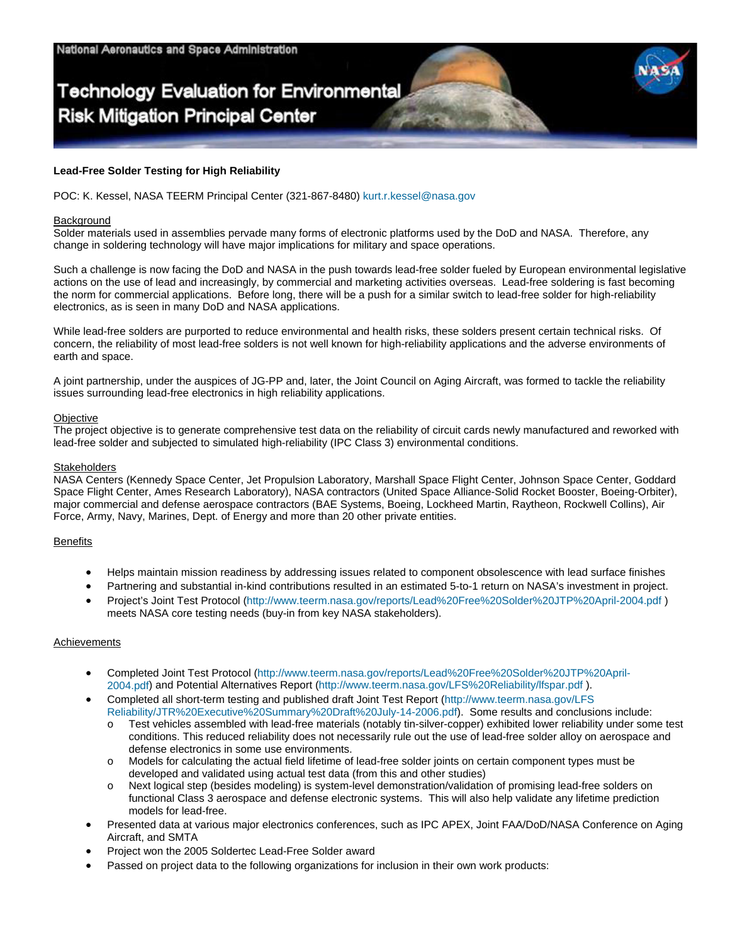# **Technology Evaluation for Environmental Risk Mitigation Principal Center**

## **Lead-Free Solder Testing for High Reliability**

POC: K. Kessel, NASA TEERM Principal Center (321-867-8480) [kurt.r.kessel@nasa.gov](mailto:kurt.r.kessel@nasa.gov)

#### **Background**

Solder materials used in assemblies pervade many forms of electronic platforms used by the DoD and NASA. Therefore, any change in soldering technology will have major implications for military and space operations.

Such a challenge is now facing the DoD and NASA in the push towards lead-free solder fueled by European environmental legislative actions on the use of lead and increasingly, by commercial and marketing activities overseas. Lead-free soldering is fast becoming the norm for commercial applications. Before long, there will be a push for a similar switch to lead-free solder for high-reliability electronics, as is seen in many DoD and NASA applications.

While lead-free solders are purported to reduce environmental and health risks, these solders present certain technical risks. Of concern, the reliability of most lead-free solders is not well known for high-reliability applications and the adverse environments of earth and space.

A joint partnership, under the auspices of JG-PP and, later, the Joint Council on Aging Aircraft, was formed to tackle the reliability issues surrounding lead-free electronics in high reliability applications.

#### **Objective**

The project objective is to generate comprehensive test data on the reliability of circuit cards newly manufactured and reworked with lead-free solder and subjected to simulated high-reliability (IPC Class 3) environmental conditions.

#### **Stakeholders**

NASA Centers (Kennedy Space Center, Jet Propulsion Laboratory, Marshall Space Flight Center, Johnson Space Center, Goddard Space Flight Center, Ames Research Laboratory), NASA contractors (United Space Alliance-Solid Rocket Booster, Boeing-Orbiter), major commercial and defense aerospace contractors (BAE Systems, Boeing, Lockheed Martin, Raytheon, Rockwell Collins), Air Force, Army, Navy, Marines, Dept. of Energy and more than 20 other private entities.

## **Benefits**

- Helps maintain mission readiness by addressing issues related to component obsolescence with lead surface finishes
- Partnering and substantial in-kind contributions resulted in an estimated 5-to-1 return on NASA's investment in project.
- Project's Joint Test Protocol [\(http://www.teerm.nasa.gov/reports/Lead%20Free%20Solder%20JTP%20April-2004.pdf](http://www.teerm.nasa.gov/reports/Lead Free Solder JTP April-2004.pdf) ) meets NASA core testing needs (buy-in from key NASA stakeholders).

## Achievements

- Completed [Joint Test Protocol](http://www.jgpp.com/projects/projects_index.html) [\(http://www.teerm.nasa.gov/reports/Lead%20Free%20Solder%20JTP%20April-](http://www.teerm.nasa.gov/reports/Lead Free Solder JTP April-2004.pdf)[2004.pdf\)](http://www.teerm.nasa.gov/reports/Lead Free Solder JTP April-2004.pdf) and Potential Alternatives Report ([http://www.teerm.nasa.gov/LFS%20Reliability/lfspar.pdf \)](http://www.teerm.nasa.gov/LFS Reliability/lfspar.pdf).
- Completed all short-term testing and published draft Joint Test Report [\(http://www.teerm.nasa.gov/LFS](http://www.teerm.nasa.gov/LFS Reliability/JTR Executive Summary Draft July-14-2006.pdf)  R[elia](http://www.teerm.nasa.gov/LFS Reliability/JTR Executive Summary Draft July-14-2006.pdf)bility/JTR%20Executive%20Summary%20Draft%20July-14-2006.pdf). Some results and conclusions include:
	- o Test vehicles assembled with lead-free materials (notably tin-silver-copper) exhibited lower reliability under some test conditions. This reduced reliability does not necessarily rule out the use of lead-free solder alloy on aerospace and defense electronics in some use environments.
	- o Models for calculating the actual field lifetime of lead-free solder joints on certain component types must be developed and validated using actual test data (from this and other studies)
	- Next logical step (besides modeling) is system-level demonstration/validation of promising lead-free solders on functional Class 3 aerospace and defense electronic systems. This will also help validate any lifetime prediction models for lead-free.
- Presented data at various major electronics conferences, such as IPC APEX, Joint FAA/DoD/NASA Conference on Aging Aircraft, and SMTA
- Project won the 2005 Soldertec Lead-Free Solder award
- Passed on project data to the following organizations for inclusion in their own work products: